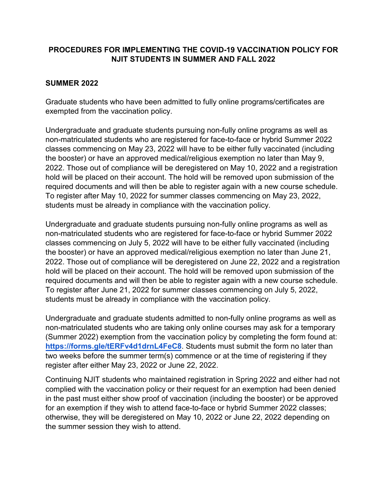# **PROCEDURES FOR IMPLEMENTING THE COVID-19 VACCINATION POLICY FOR NJIT STUDENTS IN SUMMER AND FALL 2022**

# **SUMMER 2022**

Graduate students who have been admitted to fully online programs/certificates are exempted from the vaccination policy.

Undergraduate and graduate students pursuing non-fully online programs as well as non-matriculated students who are registered for face-to-face or hybrid Summer 2022 classes commencing on May 23, 2022 will have to be either fully vaccinated (including the booster) or have an approved medical/religious exemption no later than May 9, 2022. Those out of compliance will be deregistered on May 10, 2022 and a registration hold will be placed on their account. The hold will be removed upon submission of the required documents and will then be able to register again with a new course schedule. To register after May 10, 2022 for summer classes commencing on May 23, 2022, students must be already in compliance with the vaccination policy.

Undergraduate and graduate students pursuing non-fully online programs as well as non-matriculated students who are registered for face-to-face or hybrid Summer 2022 classes commencing on July 5, 2022 will have to be either fully vaccinated (including the booster) or have an approved medical/religious exemption no later than June 21, 2022. Those out of compliance will be deregistered on June 22, 2022 and a registration hold will be placed on their account. The hold will be removed upon submission of the required documents and will then be able to register again with a new course schedule. To register after June 21, 2022 for summer classes commencing on July 5, 2022, students must be already in compliance with the vaccination policy.

Undergraduate and graduate students admitted to non-fully online programs as well as non-matriculated students who are taking only online courses may ask for a temporary (Summer 2022) exemption from the vaccination policy by completing the form found at: **<https://forms.gle/tERFv4d1drnL4FeC8>**. Students must submit the form no later than two weeks before the summer term(s) commence or at the time of registering if they register after either May 23, 2022 or June 22, 2022.

Continuing NJIT students who maintained registration in Spring 2022 and either had not complied with the vaccination policy or their request for an exemption had been denied in the past must either show proof of vaccination (including the booster) or be approved for an exemption if they wish to attend face-to-face or hybrid Summer 2022 classes; otherwise, they will be deregistered on May 10, 2022 or June 22, 2022 depending on the summer session they wish to attend.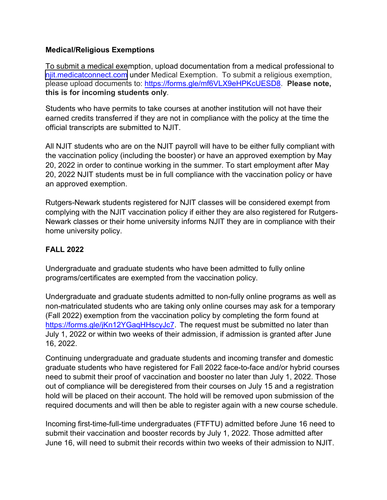#### **Medical/Religious Exemptions**

To submit a medical exemption, upload documentation from a medical professional to <njit.medicatconnect.com> under Medical Exemption. To submit a religious exemption, please upload documents to: [https://forms.gle/mf6VLX9eHPKcUESD8.](https://forms.gle/mf6VLX9eHPKcUESD8) **Please note, this is for incoming students only**.

Students who have permits to take courses at another institution will not have their earned credits transferred if they are not in compliance with the policy at the time the official transcripts are submitted to NJIT.

All NJIT students who are on the NJIT payroll will have to be either fully compliant with the vaccination policy (including the booster) or have an approved exemption by May 20, 2022 in order to continue working in the summer. To start employment after May 20, 2022 NJIT students must be in full compliance with the vaccination policy or have an approved exemption.

Rutgers-Newark students registered for NJIT classes will be considered exempt from complying with the NJIT vaccination policy if either they are also registered for Rutgers-Newark classes or their home university informs NJIT they are in compliance with their home university policy.

# **FALL 2022**

Undergraduate and graduate students who have been admitted to fully online programs/certificates are exempted from the vaccination policy.

Undergraduate and graduate students admitted to non-fully online programs as well as non-matriculated students who are taking only online courses may ask for a temporary (Fall 2022) exemption from the vaccination policy by completing the form found at [https://forms.gle/jKn12YGaqHHscyJc7.](https://forms.gle/jKn12YGaqHHscyJc7) The request must be submitted no later than July 1, 2022 or within two weeks of their admission, if admission is granted after June 16, 2022.

Continuing undergraduate and graduate students and incoming transfer and domestic graduate students who have registered for Fall 2022 face-to-face and/or hybrid courses need to submit their proof of vaccination and booster no later than July 1, 2022. Those out of compliance will be deregistered from their courses on July 15 and a registration hold will be placed on their account. The hold will be removed upon submission of the required documents and will then be able to register again with a new course schedule.

Incoming first-time-full-time undergraduates (FTFTU) admitted before June 16 need to submit their vaccination and booster records by July 1, 2022. Those admitted after June 16, will need to submit their records within two weeks of their admission to NJIT.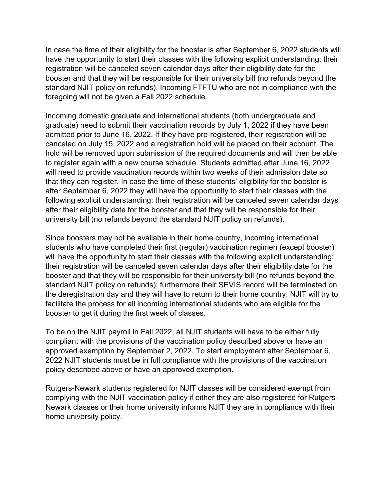In case the time of their eligibility for the booster is after September 6, 2022 students will have the opportunity to start their classes with the following explicit understanding: their registration will be canceled seven calendar days after their eligibility date for the booster and that they will be responsible for their university bill (no refunds beyond the standard NJIT policy on refunds). Incoming FTFTU who are not in compliance with the foregoing will not be given a Fall 2022 schedule.

Incoming domestic graduate and international students (both undergraduate and graduate) need to submit their vaccination records by July 1, 2022 if they have been admitted prior to June 16, 2022. If they have pre-registered, their registration will be canceled on July 15, 2022 and a registration hold will be placed on their account. The hold will be removed upon submission of the required documents and will then be able to register again with a new course schedule. Students admitted after June 16, 2022 will need to provide vaccination records within two weeks of their admission date so that they can register. In case the time of these students' eligibility for the booster is after September 6, 2022 they will have the opportunity to start their classes with the following explicit understanding: their registration will be canceled seven calendar days after their eligibility date for the booster and that they will be responsible for their university bill (no refunds beyond the standard NJIT policy on refunds).

Since boosters may not be available in their home country, incoming international students who have completed their first (regular) vaccination regimen (except booster) will have the opportunity to start their classes with the following explicit understanding: their registration will be canceled seven calendar days after their eligibility date for the booster and that they will be responsible for their university bill (no refunds beyond the standard NJIT policy on refunds); furthermore their SEVIS record will be terminated on the deregistration day and they will have to return to their home country. NJIT will try to facilitate the process for all incoming international students who are eligible for the booster to get it during the first week of classes.

To be on the NJIT payroll in Fall 2022, all NJIT students will have to be either fully compliant with the provisions of the vaccination policy described above or have an approved exemption by September 2, 2022. To start employment after September 6, 2022 NJIT students must be in full compliance with the provisions of the vaccination policy described above or have an approved exemption.

Rutgers-Newark students registered for NJIT classes will be considered exempt from complying with the NJIT vaccination policy if either they are also registered for Rutgers-Newark classes or their home university informs NJIT they are in compliance with their home university policy.